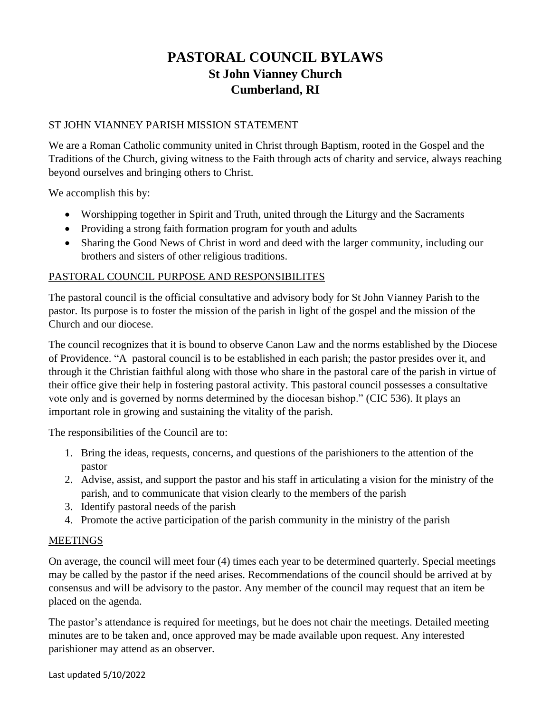# **PASTORAL COUNCIL BYLAWS St John Vianney Church Cumberland, RI**

## ST JOHN VIANNEY PARISH MISSION STATEMENT

We are a Roman Catholic community united in Christ through Baptism, rooted in the Gospel and the Traditions of the Church, giving witness to the Faith through acts of charity and service, always reaching beyond ourselves and bringing others to Christ.

We accomplish this by:

- Worshipping together in Spirit and Truth, united through the Liturgy and the Sacraments
- Providing a strong faith formation program for youth and adults
- Sharing the Good News of Christ in word and deed with the larger community, including our brothers and sisters of other religious traditions.

## PASTORAL COUNCIL PURPOSE AND RESPONSIBILITES

The pastoral council is the official consultative and advisory body for St John Vianney Parish to the pastor. Its purpose is to foster the mission of the parish in light of the gospel and the mission of the Church and our diocese.

The council recognizes that it is bound to observe Canon Law and the norms established by the Diocese of Providence. "A pastoral council is to be established in each parish; the pastor presides over it, and through it the Christian faithful along with those who share in the pastoral care of the parish in virtue of their office give their help in fostering pastoral activity. This pastoral council possesses a consultative vote only and is governed by norms determined by the diocesan bishop." (CIC 536). It plays an important role in growing and sustaining the vitality of the parish.

The responsibilities of the Council are to:

- 1. Bring the ideas, requests, concerns, and questions of the parishioners to the attention of the pastor
- 2. Advise, assist, and support the pastor and his staff in articulating a vision for the ministry of the parish, and to communicate that vision clearly to the members of the parish
- 3. Identify pastoral needs of the parish
- 4. Promote the active participation of the parish community in the ministry of the parish

#### MEETINGS

On average, the council will meet four (4) times each year to be determined quarterly. Special meetings may be called by the pastor if the need arises. Recommendations of the council should be arrived at by consensus and will be advisory to the pastor. Any member of the council may request that an item be placed on the agenda.

The pastor's attendance is required for meetings, but he does not chair the meetings. Detailed meeting minutes are to be taken and, once approved may be made available upon request. Any interested parishioner may attend as an observer.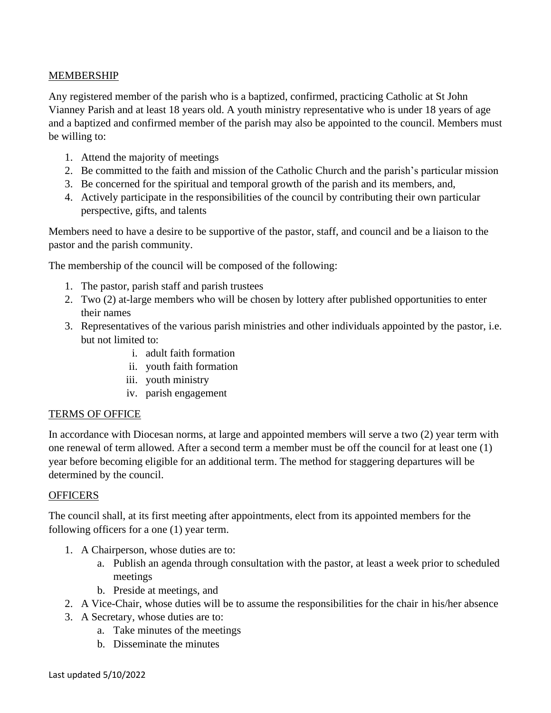## MEMBERSHIP

Any registered member of the parish who is a baptized, confirmed, practicing Catholic at St John Vianney Parish and at least 18 years old. A youth ministry representative who is under 18 years of age and a baptized and confirmed member of the parish may also be appointed to the council. Members must be willing to:

- 1. Attend the majority of meetings
- 2. Be committed to the faith and mission of the Catholic Church and the parish's particular mission
- 3. Be concerned for the spiritual and temporal growth of the parish and its members, and,
- 4. Actively participate in the responsibilities of the council by contributing their own particular perspective, gifts, and talents

Members need to have a desire to be supportive of the pastor, staff, and council and be a liaison to the pastor and the parish community.

The membership of the council will be composed of the following:

- 1. The pastor, parish staff and parish trustees
- 2. Two (2) at-large members who will be chosen by lottery after published opportunities to enter their names
- 3. Representatives of the various parish ministries and other individuals appointed by the pastor, i.e. but not limited to:
	- i. adult faith formation
	- ii. youth faith formation
	- iii. youth ministry
	- iv. parish engagement

#### TERMS OF OFFICE

In accordance with Diocesan norms, at large and appointed members will serve a two (2) year term with one renewal of term allowed. After a second term a member must be off the council for at least one (1) year before becoming eligible for an additional term. The method for staggering departures will be determined by the council.

#### **OFFICERS**

The council shall, at its first meeting after appointments, elect from its appointed members for the following officers for a one (1) year term.

- 1. A Chairperson, whose duties are to:
	- a. Publish an agenda through consultation with the pastor, at least a week prior to scheduled meetings
	- b. Preside at meetings, and
- 2. A Vice-Chair, whose duties will be to assume the responsibilities for the chair in his/her absence
- 3. A Secretary, whose duties are to:
	- a. Take minutes of the meetings
	- b. Disseminate the minutes